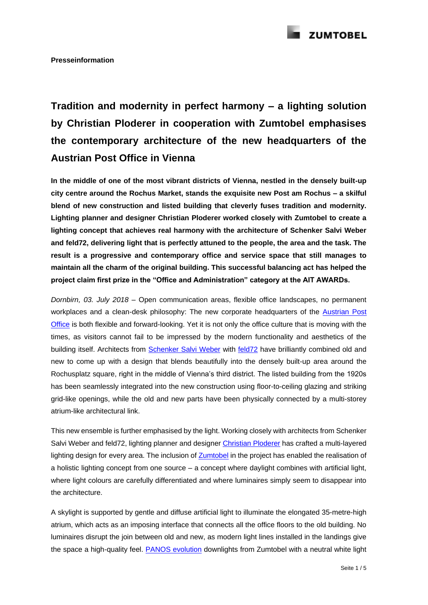

## **Tradition and modernity in perfect harmony – a lighting solution by Christian Ploderer in cooperation with Zumtobel emphasises the contemporary architecture of the new headquarters of the Austrian Post Office in Vienna**

**In the middle of one of the most vibrant districts of Vienna, nestled in the densely built-up city centre around the Rochus Market, stands the exquisite new Post am Rochus – a skilful blend of new construction and listed building that cleverly fuses tradition and modernity. Lighting planner and designer Christian Ploderer worked closely with Zumtobel to create a lighting concept that achieves real harmony with the architecture of Schenker Salvi Weber and feld72, delivering light that is perfectly attuned to the people, the area and the task. The result is a progressive and contemporary office and service space that still manages to maintain all the charm of the original building. This successful balancing act has helped the project claim first prize in the "Office and Administration" category at the AIT AWARDs.**

*Dornbirn, 03. July 2018 –* Open communication areas, flexible office landscapes, no permanent workplaces and a clean-desk philosophy: The new corporate headquarters of the [Austrian Post](https://www.post.at/en/index.php)  [Office](https://www.post.at/en/index.php) is both flexible and forward-looking. Yet it is not only the office culture that is moving with the times, as visitors cannot fail to be impressed by the modern functionality and aesthetics of the building itself. Architects from [Schenker Salvi Weber](http://www.schenkersalviweber.com/en/home/) with [feld72](http://www.feld72.at/en/) have brilliantly combined old and new to come up with a design that blends beautifully into the densely built-up area around the Rochusplatz square, right in the middle of Vienna's third district. The listed building from the 1920s has been seamlessly integrated into the new construction using floor-to-ceiling glazing and striking grid-like openings, while the old and new parts have been physically connected by a multi-storey atrium-like architectural link.

This new ensemble is further emphasised by the light. Working closely with architects from Schenker Salvi Weber and feld72, lighting planner and designer [Christian Ploderer](http://www.ploderer.at/intro) has crafted a multi-layered lighting design for every area. The inclusion of [Zumtobel](https://www.zumtobel.com/com-en/index.html) in the project has enabled the realisation of a holistic lighting concept from one source – a concept where daylight combines with artificial light, where light colours are carefully differentiated and where luminaires simply seem to disappear into the architecture.

A skylight is supported by gentle and diffuse artificial light to illuminate the elongated 35-metre-high atrium, which acts as an imposing interface that connects all the office floors to the old building. No luminaires disrupt the join between old and new, as modern light lines installed in the landings give the space a high-quality feel. **PANOS** evolution downlights from Zumtobel with a neutral white light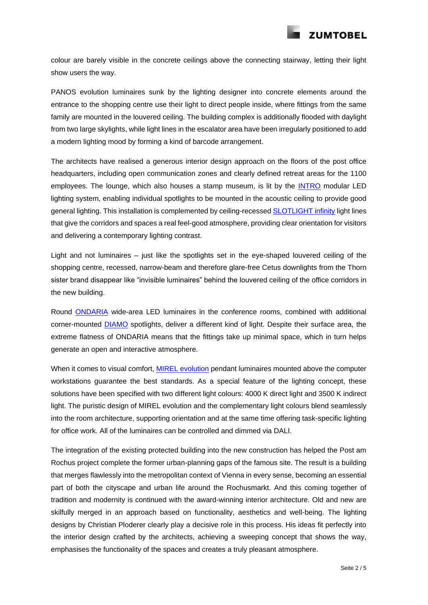

colour are barely visible in the concrete ceilings above the connecting stairway, letting their light show users the way.

PANOS evolution luminaires sunk by the lighting designer into concrete elements around the entrance to the shopping centre use their light to direct people inside, where fittings from the same family are mounted in the louvered ceiling. The building complex is additionally flooded with daylight from two large skylights, while light lines in the escalator area have been irregularly positioned to add a modern lighting mood by forming a kind of barcode arrangement.

The architects have realised a generous interior design approach on the floors of the post office headquarters, including open communication zones and clearly defined retreat areas for the 1100 employees. The lounge, which also houses a stamp museum, is lit by the [INTRO](https://www.zumtobel.com/com-en/products/intro.html) modular LED lighting system, enabling individual spotlights to be mounted in the acoustic ceiling to provide good general lighting. This installation is complemented by ceiling-recessed [SLOTLIGHT infinity](https://www.zumtobel.com/com-en/products/slotlightinfinity.html) light lines that give the corridors and spaces a real feel-good atmosphere, providing clear orientation for visitors and delivering a contemporary lighting contrast.

Light and not luminaires – just like the spotlights set in the eye-shaped louvered ceiling of the shopping centre, recessed, narrow-beam and therefore glare-free Cetus downlights from the Thorn sister brand disappear like "invisible luminaires" behind the louvered ceiling of the office corridors in the new building.

Round [ONDARIA](https://www.zumtobel.com/com-en/products/ondaria.html) wide-area LED luminaires in the conference rooms, combined with additional corner-mounted [DIAMO](https://www.zumtobel.com/com-en/products/diamo.html) spotlights, deliver a different kind of light. Despite their surface area, the extreme flatness of ONDARIA means that the fittings take up minimal space, which in turn helps generate an open and interactive atmosphere.

When it comes to visual comfort, [MIREL evolution](https://www.zumtobel.com/com-en/products/mirel_evo.html) pendant luminaires mounted above the computer workstations guarantee the best standards. As a special feature of the lighting concept, these solutions have been specified with two different light colours: 4000 K direct light and 3500 K indirect light. The puristic design of MIREL evolution and the complementary light colours blend seamlessly into the room architecture, supporting orientation and at the same time offering task-specific lighting for office work. All of the luminaires can be controlled and dimmed via DALI.

The integration of the existing protected building into the new construction has helped the Post am Rochus project complete the former urban-planning gaps of the famous site. The result is a building that merges flawlessly into the metropolitan context of Vienna in every sense, becoming an essential part of both the cityscape and urban life around the Rochusmarkt. And this coming together of tradition and modernity is continued with the award-winning interior architecture. Old and new are skilfully merged in an approach based on functionality, aesthetics and well-being. The lighting designs by Christian Ploderer clearly play a decisive role in this process. His ideas fit perfectly into the interior design crafted by the architects, achieving a sweeping concept that shows the way, emphasises the functionality of the spaces and creates a truly pleasant atmosphere.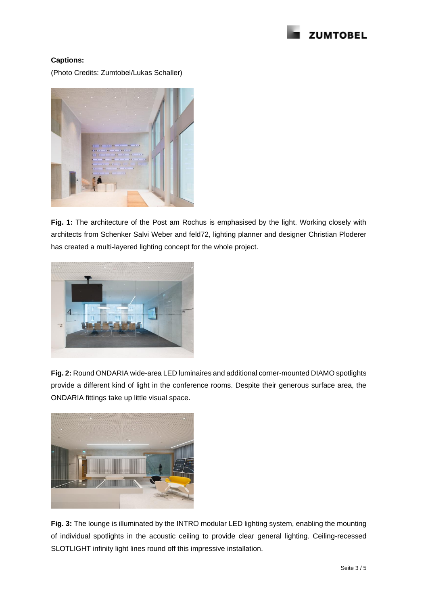

## **Captions:**

(Photo Credits: Zumtobel/Lukas Schaller)



**Fig. 1:** The architecture of the Post am Rochus is emphasised by the light. Working closely with architects from Schenker Salvi Weber and feld72, lighting planner and designer Christian Ploderer has created a multi-layered lighting concept for the whole project.



**Fig. 2:** Round ONDARIA wide-area LED luminaires and additional corner-mounted DIAMO spotlights provide a different kind of light in the conference rooms. Despite their generous surface area, the ONDARIA fittings take up little visual space.



**Fig. 3:** The lounge is illuminated by the INTRO modular LED lighting system, enabling the mounting of individual spotlights in the acoustic ceiling to provide clear general lighting. Ceiling-recessed SLOTLIGHT infinity light lines round off this impressive installation.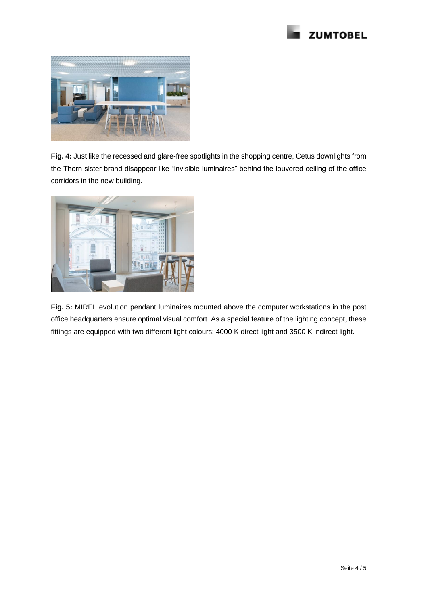



**Fig. 4:** Just like the recessed and glare-free spotlights in the shopping centre, Cetus downlights from the Thorn sister brand disappear like "invisible luminaires" behind the louvered ceiling of the office corridors in the new building.



**Fig. 5:** MIREL evolution pendant luminaires mounted above the computer workstations in the post office headquarters ensure optimal visual comfort. As a special feature of the lighting concept, these fittings are equipped with two different light colours: 4000 K direct light and 3500 K indirect light.